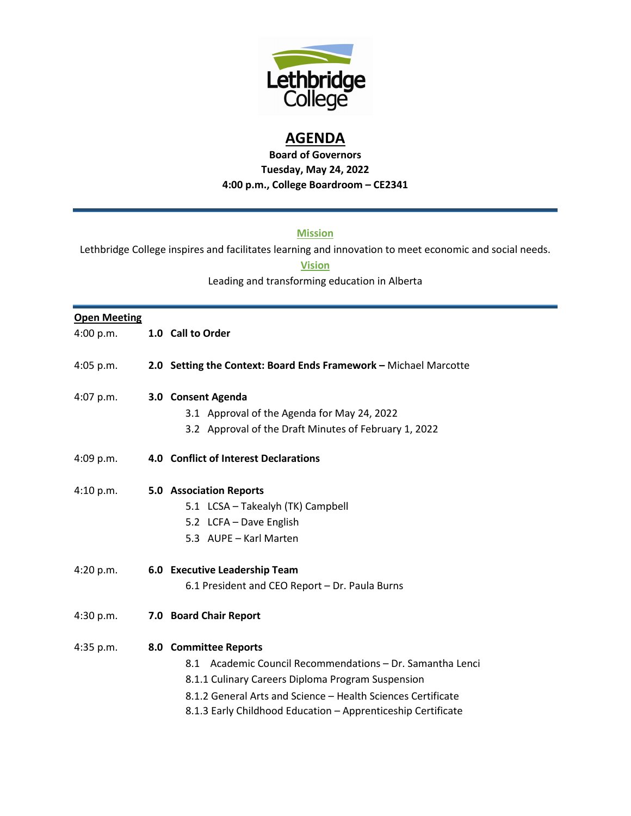

## **AGENDA**

**Board of Governors Tuesday, May 24, 2022 4:00 p.m., College Boardroom – CE2341**

## **Mission**

Lethbridge College inspires and facilitates learning and innovation to meet economic and social needs.

## **Vision**

Leading and transforming education in Alberta

## **Open Meeting**

| 4:00 p.m.   | 1.0 Call to Order                                                                                                                                                                                                                                                       |
|-------------|-------------------------------------------------------------------------------------------------------------------------------------------------------------------------------------------------------------------------------------------------------------------------|
| $4:05$ p.m. | 2.0 Setting the Context: Board Ends Framework - Michael Marcotte                                                                                                                                                                                                        |
| 4:07 p.m.   | 3.0 Consent Agenda<br>3.1 Approval of the Agenda for May 24, 2022<br>3.2 Approval of the Draft Minutes of February 1, 2022                                                                                                                                              |
| 4:09 p.m.   | 4.0 Conflict of Interest Declarations                                                                                                                                                                                                                                   |
| 4:10 p.m.   | <b>5.0 Association Reports</b><br>5.1 LCSA - Takealyh (TK) Campbell<br>5.2 LCFA - Dave English<br>5.3 AUPE - Karl Marten                                                                                                                                                |
| 4:20 p.m.   | 6.0 Executive Leadership Team<br>6.1 President and CEO Report - Dr. Paula Burns                                                                                                                                                                                         |
| 4:30 p.m.   | 7.0 Board Chair Report                                                                                                                                                                                                                                                  |
| 4:35 p.m.   | 8.0 Committee Reports<br>8.1 Academic Council Recommendations - Dr. Samantha Lenci<br>8.1.1 Culinary Careers Diploma Program Suspension<br>8.1.2 General Arts and Science - Health Sciences Certificate<br>8.1.3 Early Childhood Education - Apprenticeship Certificate |